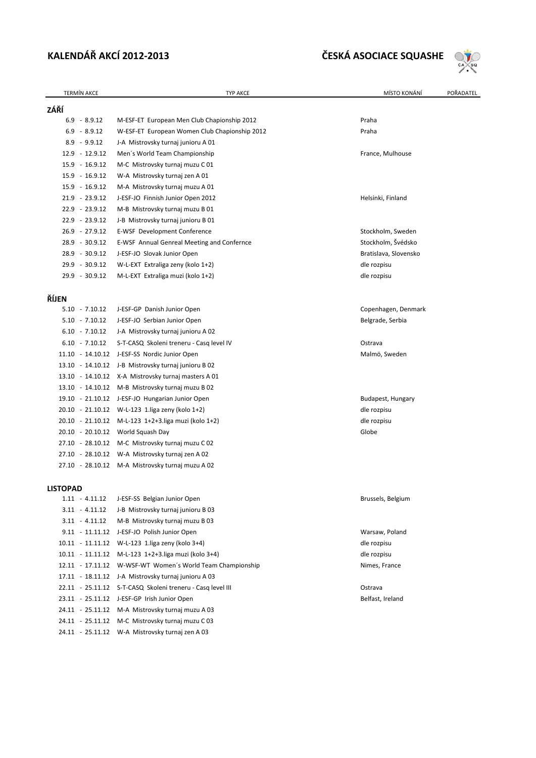# **KALENDÁŘ AKCÍ 2012‐2013 ČESKÁ ASOCIACE SQUASHE**



| <b>TERMÍN AKCE</b> | <b>TYP AKCE</b>                                            | MÍSTO KONÁNÍ<br>POŘADATEL |
|--------------------|------------------------------------------------------------|---------------------------|
| ZÁŘÍ               |                                                            |                           |
| $6.9 - 8.9.12$     | M-ESF-ET European Men Club Chapionship 2012                | Praha                     |
| $6.9 - 8.9.12$     | W-ESF-ET European Women Club Chapionship 2012              | Praha                     |
| $8.9 - 9.9.12$     | J-A Mistrovsky turnaj junioru A 01                         |                           |
| 12.9 - 12.9.12     | Men's World Team Championship                              | France, Mulhouse          |
| 15.9 - 16.9.12     | M-C Mistrovsky turnaj muzu C 01                            |                           |
| 15.9 - 16.9.12     | W-A Mistrovsky turnaj zen A01                              |                           |
| 15.9 - 16.9.12     | M-A Mistrovsky turnaj muzu A 01                            |                           |
| 21.9 - 23.9.12     | J-ESF-JO Finnish Junior Open 2012                          | Helsinki, Finland         |
| 22.9 - 23.9.12     | M-B Mistrovsky turnaj muzu B 01                            |                           |
| 22.9 - 23.9.12     | J-B Mistrovsky turnaj junioru B 01                         |                           |
| 26.9 - 27.9.12     | E-WSF Development Conference                               | Stockholm, Sweden         |
| 28.9 - 30.9.12     | E-WSF Annual Genreal Meeting and Confernce                 | Stockholm, Švédsko        |
| 28.9 - 30.9.12     | J-ESF-JO Slovak Junior Open                                | Bratislava, Slovensko     |
| 29.9 - 30.9.12     | W-L-EXT Extraliga zeny (kolo 1+2)                          | dle rozpisu               |
| 29.9 - 30.9.12     | M-L-EXT Extraliga muzi (kolo 1+2)                          | dle rozpisu               |
|                    |                                                            |                           |
| ŘÍJEN              |                                                            |                           |
| $5.10 - 7.10.12$   | J-ESF-GP Danish Junior Open                                | Copenhagen, Denmark       |
| $5.10 - 7.10.12$   | J-ESF-JO Serbian Junior Open                               | Belgrade, Serbia          |
| $6.10 - 7.10.12$   | J-A Mistrovsky turnaj junioru A 02                         |                           |
| $6.10 - 7.10.12$   | S-T-CASQ Skoleni treneru - Casq level IV                   | Ostrava                   |
|                    | 11.10 - 14.10.12 J-ESF-SS Nordic Junior Open               | Malmö, Sweden             |
|                    | 13.10 - 14.10.12 J-B Mistrovsky turnaj junioru B 02        |                           |
|                    | 13.10 - 14.10.12 X-A Mistrovsky turnaj masters A 01        |                           |
|                    | 13.10 - 14.10.12 M-B Mistrovsky turnaj muzu B 02           |                           |
|                    | 19.10 - 21.10.12 J-ESF-JO Hungarian Junior Open            | Budapest, Hungary         |
|                    | 20.10 - 21.10.12 W-L-123 1.liga zeny (kolo 1+2)            | dle rozpisu               |
|                    | 20.10 - 21.10.12 M-L-123 1+2+3.liga muzi (kolo 1+2)        | dle rozpisu               |
|                    | 20.10 - 20.10.12 World Squash Day                          | Globe                     |
|                    | 27.10 - 28.10.12 M-C Mistrovsky turnaj muzu C 02           |                           |
|                    | 27.10 - 28.10.12 W-A Mistrovsky turnaj zen A02             |                           |
|                    | 27.10 - 28.10.12 M-A Mistrovsky turnaj muzu A 02           |                           |
| <b>LISTOPAD</b>    |                                                            |                           |
| $1.11 - 4.11.12$   | J-ESF-SS Belgian Junior Open                               | Brussels, Belgium         |
| $3.11 - 4.11.12$   | J-B Mistrovsky turnaj junioru B 03                         |                           |
| $3.11 - 4.11.12$   | M-B Mistrovsky turnaj muzu B 03                            |                           |
|                    | 9.11 - 11.11.12 J-ESF-JO Polish Junior Open                | Warsaw, Poland            |
|                    | 10.11 - 11.11.12 W-L-123 1.liga zeny (kolo 3+4)            | dle rozpisu               |
|                    | 10.11 - 11.11.12 M-L-123 1+2+3.liga muzi (kolo 3+4)        | dle rozpisu               |
|                    | 12.11 - 17.11.12 W-WSF-WT Women's World Team Championship  | Nimes, France             |
|                    | 17.11 - 18.11.12 J-A Mistrovsky turnaj junioru A 03        |                           |
|                    | 22.11 - 25.11.12 S-T-CASQ Skoleni treneru - Casq level III | Ostrava                   |
|                    | 23.11 - 25.11.12 J-ESF-GP Irish Junior Open                | Belfast, Ireland          |
|                    | 24.11 - 25.11.12 M-A Mistrovsky turnaj muzu A 03           |                           |
|                    | 24.11 - 25.11.12 M-C Mistrovsky turnaj muzu C 03           |                           |
|                    | 24.11 - 25.11.12 W-A Mistrovsky turnaj zen A03             |                           |
|                    |                                                            |                           |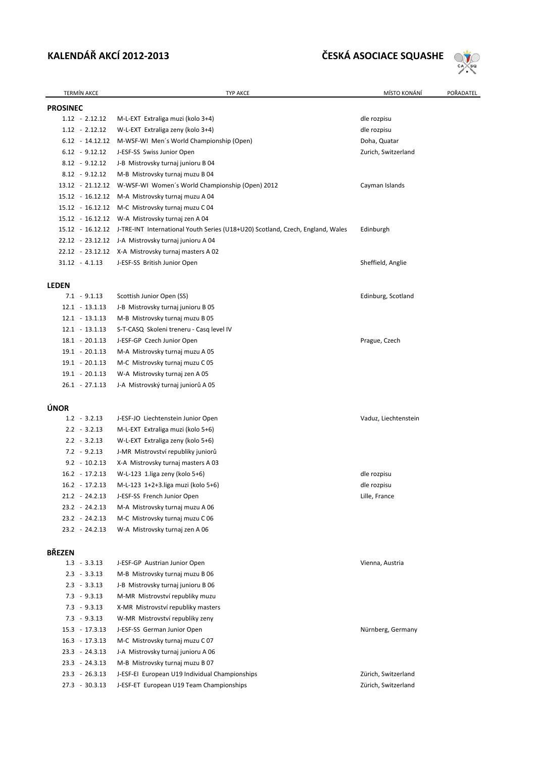## **KALENDÁŘ AKCÍ 2012‐2013 ČESKÁ ASOCIACE SQUASHE**



| <b>TERMÍN AKCE</b>                   | TYP AKCE                                                                       | MÍSTO KONÁNÍ         | POŘADATEL |
|--------------------------------------|--------------------------------------------------------------------------------|----------------------|-----------|
| <b>PROSINEC</b>                      |                                                                                |                      |           |
| $1.12 - 2.12.12$                     | M-L-EXT Extraliga muzi (kolo 3+4)                                              | dle rozpisu          |           |
| $1.12 - 2.12.12$                     | W-L-EXT Extraliga zeny (kolo 3+4)                                              | dle rozpisu          |           |
| $6.12 - 14.12.12$                    | M-WSF-WI Men's World Championship (Open)                                       | Doha, Quatar         |           |
| $6.12 - 9.12.12$                     | J-ESF-SS Swiss Junior Open                                                     | Zurich, Switzerland  |           |
| $8.12 - 9.12.12$                     | J-B Mistrovsky turnaj junioru B 04                                             |                      |           |
| $8.12 - 9.12.12$                     | M-B Mistrovsky turnaj muzu B 04                                                |                      |           |
| 13.12 - 21.12.12                     | W-WSF-WI Women's World Championship (Open) 2012                                | Cayman Islands       |           |
| 15.12 - 16.12.12                     | M-A Mistrovsky turnaj muzu A 04                                                |                      |           |
| 15.12 - 16.12.12                     | M-C Mistrovsky turnaj muzu C 04                                                |                      |           |
| 15.12 - 16.12.12                     | W-A Mistrovsky turnaj zen A 04                                                 |                      |           |
| 15.12 - 16.12.12                     | J-TRE-INT International Youth Series (U18+U20) Scotland, Czech, England, Wales | Edinburgh            |           |
| 22.12 - 23.12.12                     | J-A Mistrovsky turnaj junioru A 04                                             |                      |           |
|                                      | 22.12 - 23.12.12 X-A Mistrovsky turnaj masters A 02                            |                      |           |
| $31.12 - 4.1.13$                     | J-ESF-SS British Junior Open                                                   | Sheffield, Anglie    |           |
|                                      |                                                                                |                      |           |
| LEDEN                                |                                                                                |                      |           |
| $7.1 - 9.1.13$                       | Scottish Junior Open (SS)                                                      | Edinburg, Scotland   |           |
| $12.1 - 13.1.13$                     | J-B Mistrovsky turnaj junioru B 05                                             |                      |           |
| $12.1 - 13.1.13$                     | M-B Mistrovsky turnaj muzu B 05                                                |                      |           |
| $12.1 - 13.1.13$<br>$18.1 - 20.1.13$ | S-T-CASQ Skoleni treneru - Casq level IV                                       |                      |           |
|                                      | J-ESF-GP Czech Junior Open                                                     | Prague, Czech        |           |
| $19.1 - 20.1.13$<br>$19.1 - 20.1.13$ | M-A Mistrovsky turnaj muzu A 05                                                |                      |           |
| $19.1 - 20.1.13$                     | M-C Mistrovsky turnaj muzu C 05<br>W-A Mistrovsky turnaj zen A 05              |                      |           |
| $26.1 - 27.1.13$                     | J-A Mistrovský turnaj juniorů A 05                                             |                      |           |
|                                      |                                                                                |                      |           |
| ÚNOR                                 |                                                                                |                      |           |
| $1.2 - 3.2.13$                       | J-ESF-JO Liechtenstein Junior Open                                             | Vaduz, Liechtenstein |           |
| $2.2 - 3.2.13$                       | M-L-EXT Extraliga muzi (kolo 5+6)                                              |                      |           |
| $2.2 - 3.2.13$                       | W-L-EXT Extraliga zeny (kolo 5+6)                                              |                      |           |
| $7.2 - 9.2.13$                       | J-MR Mistrovství republiky juniorů                                             |                      |           |
| $9.2 - 10.2.13$                      | X-A Mistrovsky turnaj masters A 03                                             |                      |           |
| $16.2 - 17.2.13$                     | W-L-123 1.liga zeny (kolo 5+6)                                                 | dle rozpisu          |           |
| $16.2 - 17.2.13$                     | M-L-123 1+2+3.liga muzi (kolo 5+6)                                             | dle rozpisu          |           |
| $21.2 - 24.2.13$                     | J-ESF-SS French Junior Open                                                    | Lille, France        |           |
| $23.2 - 24.2.13$                     | M-A Mistrovsky turnaj muzu A 06                                                |                      |           |
| $23.2 - 24.2.13$                     | M-C Mistrovsky turnaj muzu C 06                                                |                      |           |
| $23.2 - 24.2.13$                     | W-A Mistrovsky turnaj zen A 06                                                 |                      |           |
| <b>BŘEZEN</b>                        |                                                                                |                      |           |
| $1.3 - 3.3.13$                       | J-ESF-GP Austrian Junior Open                                                  | Vienna, Austria      |           |
| $2.3 - 3.3.13$                       | M-B Mistrovsky turnaj muzu B 06                                                |                      |           |
| $2.3 - 3.3.13$                       | J-B Mistrovsky turnaj junioru B 06                                             |                      |           |
| $7.3 - 9.3.13$                       | M-MR Mistrovství republiky muzu                                                |                      |           |
| $7.3 - 9.3.13$                       | X-MR Mistrovství republiky masters                                             |                      |           |
| $7.3 - 9.3.13$                       | W-MR Mistrovství republiky zeny                                                |                      |           |
| $15.3 - 17.3.13$                     | J-ESF-SS German Junior Open                                                    | Nürnberg, Germany    |           |
| $16.3 - 17.3.13$                     | M-C Mistrovsky turnaj muzu C 07                                                |                      |           |
| $23.3 - 24.3.13$                     | J-A Mistrovsky turnaj junioru A 06                                             |                      |           |
| $23.3 - 24.3.13$                     | M-B Mistrovsky turnaj muzu B 07                                                |                      |           |
| $23.3 - 26.3.13$                     | J-ESF-EI European U19 Individual Championships                                 | Zürich, Switzerland  |           |
| $27.3 - 30.3.13$                     | J-ESF-ET European U19 Team Championships                                       | Zürich, Switzerland  |           |
|                                      |                                                                                |                      |           |